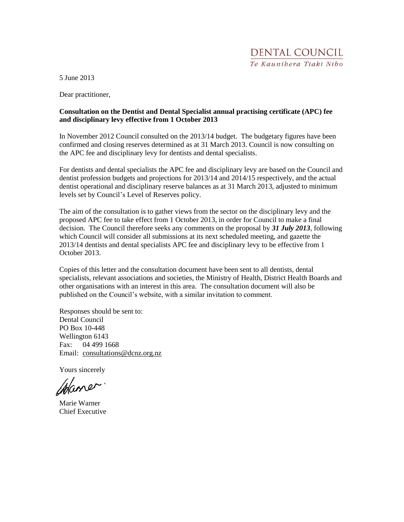DENTAL COUNCIL Te Kaunibera Tiaki Nibo

5 June 2013

Dear practitioner,

#### **Consultation on the Dentist and Dental Specialist annual practising certificate (APC) fee and disciplinary levy effective from 1 October 2013**

In November 2012 Council consulted on the 2013/14 budget. The budgetary figures have been confirmed and closing reserves determined as at 31 March 2013. Council is now consulting on the APC fee and disciplinary levy for dentists and dental specialists.

For dentists and dental specialists the APC fee and disciplinary levy are based on the Council and dentist profession budgets and projections for 2013/14 and 2014/15 respectively, and the actual dentist operational and disciplinary reserve balances as at 31 March 2013, adjusted to minimum levels set by Council's Level of Reserves policy.

The aim of the consultation is to gather views from the sector on the disciplinary levy and the proposed APC fee to take effect from 1 October 2013, in order for Council to make a final decision. The Council therefore seeks any comments on the proposal by *31 July 2013*, following which Council will consider all submissions at its next scheduled meeting, and gazette the 2013/14 dentists and dental specialists APC fee and disciplinary levy to be effective from 1 October 2013.

Copies of this letter and the consultation document have been sent to all dentists, dental specialists, relevant associations and societies, the Ministry of Health, District Health Boards and other organisations with an interest in this area. The consultation document will also be published on the Council's website, with a similar invitation to comment.

Responses should be sent to: Dental Council PO Box 10-448 Wellington 6143 Fax: 04 499 1668 Email: [consultations@dcnz.org.nz](mailto:marie.warner@dcnz.org.nz)

Yours sincerely

Istaner

Marie Warner Chief Executive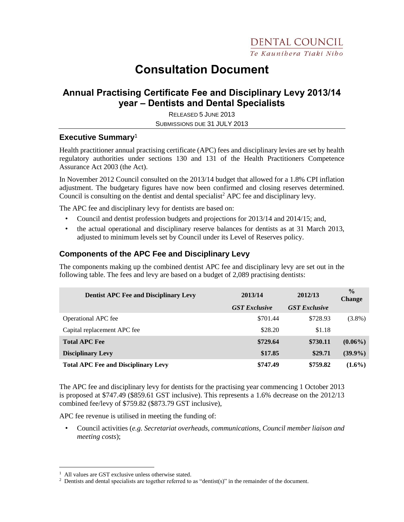# **Consultation Document**

## **Annual Practising Certificate Fee and Disciplinary Levy 2013/14 year – Dentists and Dental Specialists**

RELEASED 5 JUNE 2013 SUBMISSIONS DUE 31 JULY 2013

#### **Executive Summary**<sup>1</sup>

Health practitioner annual practising certificate (APC) fees and disciplinary levies are set by health regulatory authorities under sections 130 and 131 of the Health Practitioners Competence Assurance Act 2003 (the Act).

In November 2012 Council consulted on the 2013/14 budget that allowed for a 1.8% CPI inflation adjustment. The budgetary figures have now been confirmed and closing reserves determined. Council is consulting on the dentist and dental specialist<sup>2</sup> APC fee and disciplinary levy.

The APC fee and disciplinary levy for dentists are based on:

- Council and dentist profession budgets and projections for 2013/14 and 2014/15; and,
- the actual operational and disciplinary reserve balances for dentists as at 31 March 2013, adjusted to minimum levels set by Council under its Level of Reserves policy.

### **Components of the APC Fee and Disciplinary Levy**

The components making up the combined dentist APC fee and disciplinary levy are set out in the following table. The fees and levy are based on a budget of 2,089 practising dentists:

| <b>Dentist APC Fee and Disciplinary Levy</b> | 2013/14              | 2012/13              | $\frac{0}{0}$<br><b>Change</b> |
|----------------------------------------------|----------------------|----------------------|--------------------------------|
|                                              | <b>GST Exclusive</b> | <b>GST Exclusive</b> |                                |
| <b>Operational APC</b> fee                   | \$701.44             | \$728.93             | $(3.8\%)$                      |
| Capital replacement APC fee                  | \$28.20              | \$1.18               |                                |
| <b>Total APC Fee</b>                         | \$729.64             | \$730.11             | $(0.06\%)$                     |
| <b>Disciplinary Levy</b>                     | \$17.85              | \$29.71              | $(39.9\%)$                     |
| <b>Total APC Fee and Disciplinary Levy</b>   | \$747.49             | \$759.82             | $(1.6\%)$                      |

The APC fee and disciplinary levy for dentists for the practising year commencing 1 October 2013 is proposed at \$747.49 (\$859.61 GST inclusive). This represents a 1.6% decrease on the 2012/13 combined fee/levy of \$759.82 (\$873.79 GST inclusive),

APC fee revenue is utilised in meeting the funding of:

• Council activities (*e.g. Secretariat overheads, communications, Council member liaison and meeting costs*);

 $\overline{a}$ 

<sup>&</sup>lt;sup>1</sup> All values are GST exclusive unless otherwise stated.

<sup>&</sup>lt;sup>2</sup> Dentists and dental specialists are together referred to as "dentist(s)" in the remainder of the document.